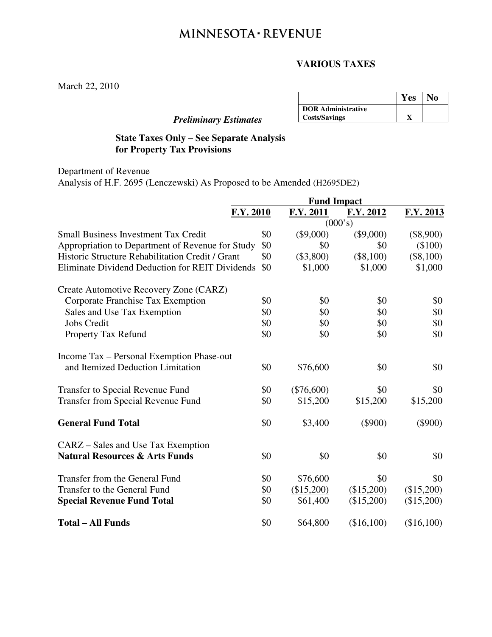# MINNESOTA · REVENUE

## **VARIOUS TAXES**

March 22, 2010

# *Preliminary Estimates*

|                           | Yes | No |
|---------------------------|-----|----|
| <b>DOR</b> Administrative |     |    |
| <b>Costs/Savings</b>      |     |    |

# **State Taxes Only – See Separate Analysis for Property Tax Provisions**

Department of Revenue Analysis of H.F. 2695 (Lenczewski) As Proposed to be Amended (H2695DE2)

|                                                        | <b>Fund Impact</b> |              |             |             |
|--------------------------------------------------------|--------------------|--------------|-------------|-------------|
| F.Y. 2010                                              |                    | F.Y. 2011    | F.Y. 2012   | F.Y. 2013   |
|                                                        | (000's)            |              |             |             |
| <b>Small Business Investment Tax Credit</b>            | \$0                | $(\$9,000)$  | $(\$9,000)$ | $(\$8,900)$ |
| Appropriation to Department of Revenue for Study       | \$0                | \$0          | \$0         | $(\$100)$   |
| Historic Structure Rehabilitation Credit / Grant       | \$0                | $(\$3,800)$  | $(\$8,100)$ | $(\$8,100)$ |
| <b>Eliminate Dividend Deduction for REIT Dividends</b> | \$0                | \$1,000      | \$1,000     | \$1,000     |
| Create Automotive Recovery Zone (CARZ)                 |                    |              |             |             |
| Corporate Franchise Tax Exemption                      | \$0                | \$0          | \$0         | \$0         |
| Sales and Use Tax Exemption                            | \$0                | \$0          | \$0         | \$0         |
| <b>Jobs Credit</b>                                     | \$0                | \$0          | \$0         | \$0         |
| Property Tax Refund                                    | \$0                | \$0          | \$0         | \$0         |
| Income Tax - Personal Exemption Phase-out              |                    |              |             |             |
| and Itemized Deduction Limitation                      | \$0                | \$76,600     | \$0         | \$0         |
| <b>Transfer to Special Revenue Fund</b>                | \$0                | $(\$76,600)$ | \$0         | \$0         |
| <b>Transfer from Special Revenue Fund</b>              | \$0                | \$15,200     | \$15,200    | \$15,200    |
| <b>General Fund Total</b>                              | \$0                | \$3,400      | $(\$900)$   | $(\$900)$   |
| CARZ – Sales and Use Tax Exemption                     |                    |              |             |             |
| <b>Natural Resources &amp; Arts Funds</b>              | \$0                | \$0          | \$0         | \$0         |
| Transfer from the General Fund                         | \$0                | \$76,600     | \$0         | \$0         |
| Transfer to the General Fund                           | <u>\$0</u>         | (\$15,200)   | (\$15,200)  | (\$15,200)  |
| <b>Special Revenue Fund Total</b>                      | \$0                | \$61,400     | (\$15,200)  | (\$15,200)  |
| <b>Total - All Funds</b>                               | \$0                | \$64,800     | (\$16,100)  | (\$16,100)  |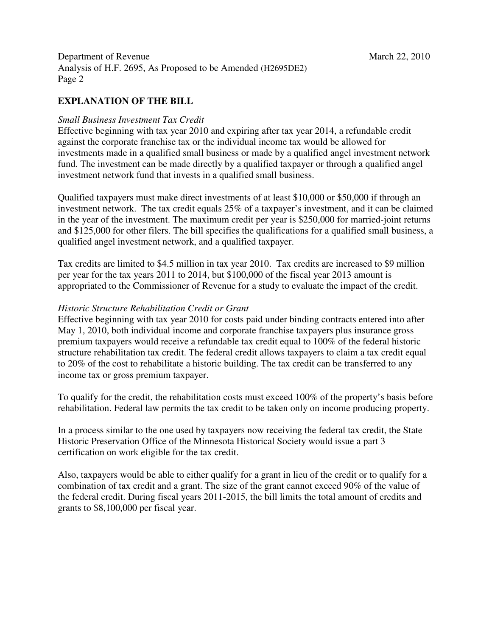Department of Revenue March 22, 2010 Analysis of H.F. 2695, As Proposed to be Amended (H2695DE2) Page 2

## **EXPLANATION OF THE BILL**

#### *Small Business Investment Tax Credit*

Effective beginning with tax year 2010 and expiring after tax year 2014, a refundable credit against the corporate franchise tax or the individual income tax would be allowed for investments made in a qualified small business or made by a qualified angel investment network fund. The investment can be made directly by a qualified taxpayer or through a qualified angel investment network fund that invests in a qualified small business.

Qualified taxpayers must make direct investments of at least \$10,000 or \$50,000 if through an investment network. The tax credit equals 25% of a taxpayer's investment, and it can be claimed in the year of the investment. The maximum credit per year is \$250,000 for married-joint returns and \$125,000 for other filers. The bill specifies the qualifications for a qualified small business, a qualified angel investment network, and a qualified taxpayer.

Tax credits are limited to \$4.5 million in tax year 2010. Tax credits are increased to \$9 million per year for the tax years 2011 to 2014, but \$100,000 of the fiscal year 2013 amount is appropriated to the Commissioner of Revenue for a study to evaluate the impact of the credit.

#### *Historic Structure Rehabilitation Credit or Grant*

Effective beginning with tax year 2010 for costs paid under binding contracts entered into after May 1, 2010, both individual income and corporate franchise taxpayers plus insurance gross premium taxpayers would receive a refundable tax credit equal to 100% of the federal historic structure rehabilitation tax credit. The federal credit allows taxpayers to claim a tax credit equal to 20% of the cost to rehabilitate a historic building. The tax credit can be transferred to any income tax or gross premium taxpayer.

To qualify for the credit, the rehabilitation costs must exceed 100% of the property's basis before rehabilitation. Federal law permits the tax credit to be taken only on income producing property.

In a process similar to the one used by taxpayers now receiving the federal tax credit, the State Historic Preservation Office of the Minnesota Historical Society would issue a part 3 certification on work eligible for the tax credit.

Also, taxpayers would be able to either qualify for a grant in lieu of the credit or to qualify for a combination of tax credit and a grant. The size of the grant cannot exceed 90% of the value of the federal credit. During fiscal years 2011-2015, the bill limits the total amount of credits and grants to \$8,100,000 per fiscal year.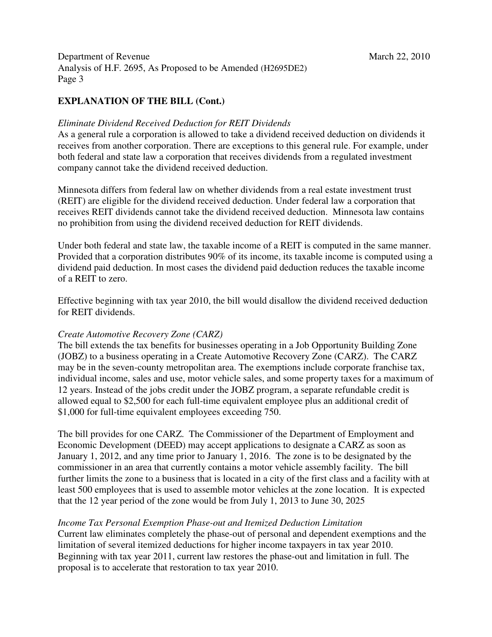# **EXPLANATION OF THE BILL (Cont.)**

### *Eliminate Dividend Received Deduction for REIT Dividends*

As a general rule a corporation is allowed to take a dividend received deduction on dividends it receives from another corporation. There are exceptions to this general rule. For example, under both federal and state law a corporation that receives dividends from a regulated investment company cannot take the dividend received deduction.

Minnesota differs from federal law on whether dividends from a real estate investment trust (REIT) are eligible for the dividend received deduction. Under federal law a corporation that receives REIT dividends cannot take the dividend received deduction. Minnesota law contains no prohibition from using the dividend received deduction for REIT dividends.

Under both federal and state law, the taxable income of a REIT is computed in the same manner. Provided that a corporation distributes 90% of its income, its taxable income is computed using a dividend paid deduction. In most cases the dividend paid deduction reduces the taxable income of a REIT to zero.

Effective beginning with tax year 2010, the bill would disallow the dividend received deduction for REIT dividends.

## *Create Automotive Recovery Zone (CARZ)*

The bill extends the tax benefits for businesses operating in a Job Opportunity Building Zone (JOBZ) to a business operating in a Create Automotive Recovery Zone (CARZ). The CARZ may be in the seven-county metropolitan area. The exemptions include corporate franchise tax, individual income, sales and use, motor vehicle sales, and some property taxes for a maximum of 12 years. Instead of the jobs credit under the JOBZ program, a separate refundable credit is allowed equal to \$2,500 for each full-time equivalent employee plus an additional credit of \$1,000 for full-time equivalent employees exceeding 750.

The bill provides for one CARZ. The Commissioner of the Department of Employment and Economic Development (DEED) may accept applications to designate a CARZ as soon as January 1, 2012, and any time prior to January 1, 2016. The zone is to be designated by the commissioner in an area that currently contains a motor vehicle assembly facility. The bill further limits the zone to a business that is located in a city of the first class and a facility with at least 500 employees that is used to assemble motor vehicles at the zone location. It is expected that the 12 year period of the zone would be from July 1, 2013 to June 30, 2025

## *Income Tax Personal Exemption Phase-out and Itemized Deduction Limitation*

Current law eliminates completely the phase-out of personal and dependent exemptions and the limitation of several itemized deductions for higher income taxpayers in tax year 2010. Beginning with tax year 2011, current law restores the phase-out and limitation in full. The proposal is to accelerate that restoration to tax year 2010.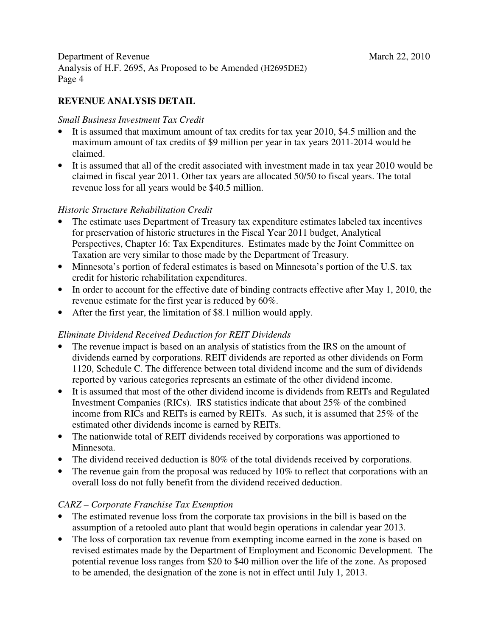# **REVENUE ANALYSIS DETAIL**

#### *Small Business Investment Tax Credit*

- It is assumed that maximum amount of tax credits for tax year 2010, \$4.5 million and the maximum amount of tax credits of \$9 million per year in tax years 2011-2014 would be claimed.
- It is assumed that all of the credit associated with investment made in tax year 2010 would be claimed in fiscal year 2011. Other tax years are allocated 50/50 to fiscal years. The total revenue loss for all years would be \$40.5 million.

#### *Historic Structure Rehabilitation Credit*

- The estimate uses Department of Treasury tax expenditure estimates labeled tax incentives for preservation of historic structures in the Fiscal Year 2011 budget, Analytical Perspectives, Chapter 16: Tax Expenditures. Estimates made by the Joint Committee on Taxation are very similar to those made by the Department of Treasury.
- Minnesota's portion of federal estimates is based on Minnesota's portion of the U.S. tax credit for historic rehabilitation expenditures.
- In order to account for the effective date of binding contracts effective after May 1, 2010, the revenue estimate for the first year is reduced by 60%.
- After the first year, the limitation of \$8.1 million would apply.

## *Eliminate Dividend Received Deduction for REIT Dividends*

- The revenue impact is based on an analysis of statistics from the IRS on the amount of dividends earned by corporations. REIT dividends are reported as other dividends on Form 1120, Schedule C. The difference between total dividend income and the sum of dividends reported by various categories represents an estimate of the other dividend income.
- It is assumed that most of the other dividend income is dividends from REITs and Regulated Investment Companies (RICs). IRS statistics indicate that about 25% of the combined income from RICs and REITs is earned by REITs. As such, it is assumed that 25% of the estimated other dividends income is earned by REITs.
- The nationwide total of REIT dividends received by corporations was apportioned to Minnesota.
- The dividend received deduction is 80% of the total dividends received by corporations.
- The revenue gain from the proposal was reduced by 10% to reflect that corporations with an overall loss do not fully benefit from the dividend received deduction.

## *CARZ – Corporate Franchise Tax Exemption*

- The estimated revenue loss from the corporate tax provisions in the bill is based on the assumption of a retooled auto plant that would begin operations in calendar year 2013.
- The loss of corporation tax revenue from exempting income earned in the zone is based on revised estimates made by the Department of Employment and Economic Development. The potential revenue loss ranges from \$20 to \$40 million over the life of the zone. As proposed to be amended, the designation of the zone is not in effect until July 1, 2013.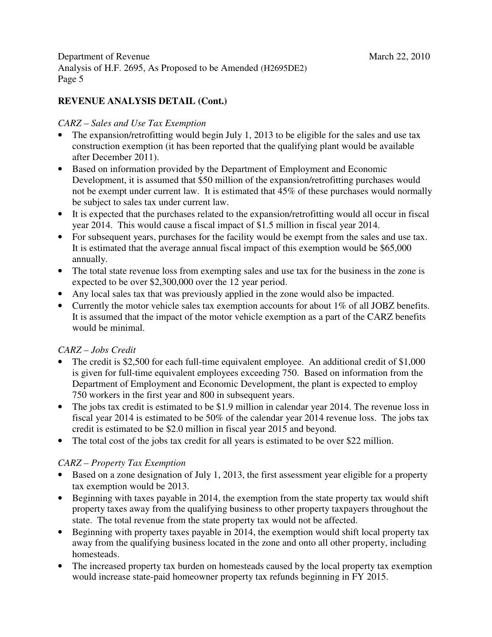# **REVENUE ANALYSIS DETAIL (Cont.)**

## *CARZ – Sales and Use Tax Exemption*

- The expansion/retrofitting would begin July 1, 2013 to be eligible for the sales and use tax construction exemption (it has been reported that the qualifying plant would be available after December 2011).
- Based on information provided by the Department of Employment and Economic Development, it is assumed that \$50 million of the expansion/retrofitting purchases would not be exempt under current law. It is estimated that 45% of these purchases would normally be subject to sales tax under current law.
- It is expected that the purchases related to the expansion/retrofitting would all occur in fiscal year 2014. This would cause a fiscal impact of \$1.5 million in fiscal year 2014.
- For subsequent years, purchases for the facility would be exempt from the sales and use tax. It is estimated that the average annual fiscal impact of this exemption would be \$65,000 annually.
- The total state revenue loss from exempting sales and use tax for the business in the zone is expected to be over \$2,300,000 over the 12 year period.
- Any local sales tax that was previously applied in the zone would also be impacted.
- Currently the motor vehicle sales tax exemption accounts for about 1% of all JOBZ benefits. It is assumed that the impact of the motor vehicle exemption as a part of the CARZ benefits would be minimal.

# *CARZ – Jobs Credit*

- The credit is \$2,500 for each full-time equivalent employee. An additional credit of \$1,000 is given for full-time equivalent employees exceeding 750. Based on information from the Department of Employment and Economic Development, the plant is expected to employ 750 workers in the first year and 800 in subsequent years.
- The jobs tax credit is estimated to be \$1.9 million in calendar year 2014. The revenue loss in fiscal year 2014 is estimated to be 50% of the calendar year 2014 revenue loss. The jobs tax credit is estimated to be \$2.0 million in fiscal year 2015 and beyond.
- The total cost of the jobs tax credit for all years is estimated to be over \$22 million.

# *CARZ – Property Tax Exemption*

- Based on a zone designation of July 1, 2013, the first assessment year eligible for a property tax exemption would be 2013.
- Beginning with taxes payable in 2014, the exemption from the state property tax would shift property taxes away from the qualifying business to other property taxpayers throughout the state. The total revenue from the state property tax would not be affected.
- Beginning with property taxes payable in 2014, the exemption would shift local property tax away from the qualifying business located in the zone and onto all other property, including homesteads.
- The increased property tax burden on homesteads caused by the local property tax exemption would increase state-paid homeowner property tax refunds beginning in FY 2015.